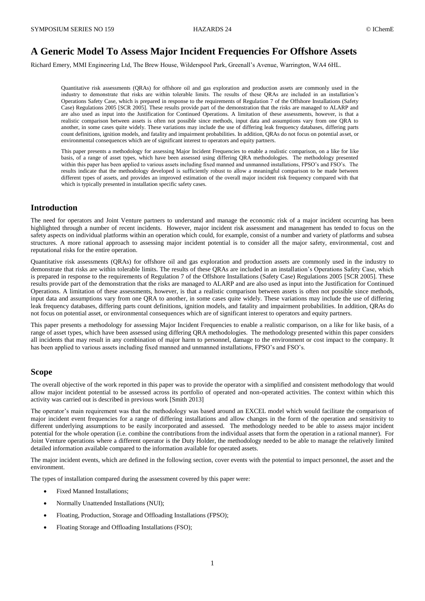# **A Generic Model To Assess Major Incident Frequencies For Offshore Assets**

Richard Emery, MMI Engineering Ltd, The Brew House, Wilderspool Park, Greenall's Avenue, Warrington, WA4 6HL.

Quantitative risk assessments (QRAs) for offshore oil and gas exploration and production assets are commonly used in the industry to demonstrate that risks are within tolerable limits. The results of these QRAs are included in an installation's Operations Safety Case, which is prepared in response to the requirements of Regulation 7 of the Offshore Installations (Safety Case) Regulations 2005 [SCR 2005]. These results provide part of the demonstration that the risks are managed to ALARP and are also used as input into the Justification for Continued Operations. A limitation of these assessments, however, is that a realistic comparison between assets is often not possible since methods, input data and assumptions vary from one QRA to another, in some cases quite widely. These variations may include the use of differing leak frequency databases, differing parts count definitions, ignition models, and fatality and impairment probabilities. In addition, QRAs do not focus on potential asset, or environmental consequences which are of significant interest to operators and equity partners.

This paper presents a methodology for assessing Major Incident Frequencies to enable a realistic comparison, on a like for like basis, of a range of asset types, which have been assessed using differing QRA methodologies. The methodology presented within this paper has been applied to various assets including fixed manned and unmanned installations, FPSO's and FSO's. The results indicate that the methodology developed is sufficiently robust to allow a meaningful comparison to be made between different types of assets, and provides an improved estimation of the overall major incident risk frequency compared with that which is typically presented in installation specific safety cases.

# **Introduction**

The need for operators and Joint Venture partners to understand and manage the economic risk of a major incident occurring has been highlighted through a number of recent incidents. However, major incident risk assessment and management has tended to focus on the safety aspects on individual platforms within an operation which could, for example, consist of a number and variety of platforms and subsea structures. A more rational approach to assessing major incident potential is to consider all the major safety, environmental, cost and reputational risks for the entire operation.

Quantitative risk assessments (QRAs) for offshore oil and gas exploration and production assets are commonly used in the industry to demonstrate that risks are within tolerable limits. The results of these QRAs are included in an installation's Operations Safety Case, which is prepared in response to the requirements of Regulation 7 of the Offshore Installations (Safety Case) Regulations 2005 [SCR 2005]. These results provide part of the demonstration that the risks are managed to ALARP and are also used as input into the Justification for Continued Operations. A limitation of these assessments, however, is that a realistic comparison between assets is often not possible since methods, input data and assumptions vary from one QRA to another, in some cases quite widely. These variations may include the use of differing leak frequency databases, differing parts count definitions, ignition models, and fatality and impairment probabilities. In addition, QRAs do not focus on potential asset, or environmental consequences which are of significant interest to operators and equity partners.

This paper presents a methodology for assessing Major Incident Frequencies to enable a realistic comparison, on a like for like basis, of a range of asset types, which have been assessed using differing QRA methodologies. The methodology presented within this paper considers all incidents that may result in any combination of major harm to personnel, damage to the environment or cost impact to the company. It has been applied to various assets including fixed manned and unmanned installations, FPSO's and FSO's.

### **Scope**

The overall objective of the work reported in this paper was to provide the operator with a simplified and consistent methodology that would allow major incident potential to be assessed across its portfolio of operated and non-operated activities. The context within which this activity was carried out is described in previous work [Smith 2013]

The operator's main requirement was that the methodology was based around an EXCEL model which would facilitate the comparison of major incident event frequencies for a range of differing installations and allow changes in the form of the operation and sensitivity to different underlying assumptions to be easily incorporated and assessed. The methodology needed to be able to assess major incident potential for the whole operation (i.e. combine the contributions from the individual assets that form the operation in a rational manner). For Joint Venture operations where a different operator is the Duty Holder, the methodology needed to be able to manage the relatively limited detailed information available compared to the information available for operated assets.

The major incident events, which are defined in the following section, cover events with the potential to impact personnel, the asset and the environment.

The types of installation compared during the assessment covered by this paper were:

- Fixed Manned Installations;
- Normally Unattended Installations (NUI);
- Floating, Production, Storage and Offloading Installations (FPSO);
- Floating Storage and Offloading Installations (FSO);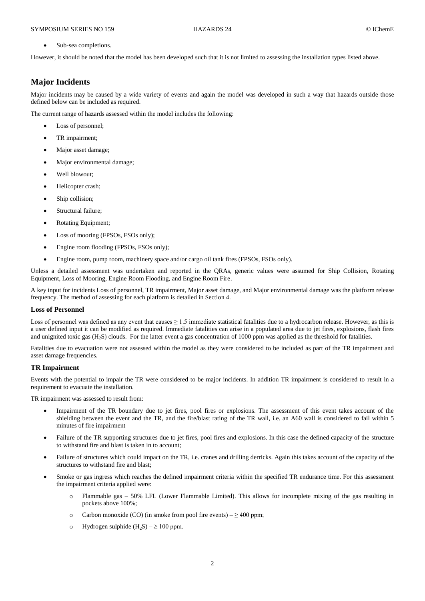Sub-sea completions.

However, it should be noted that the model has been developed such that it is not limited to assessing the installation types listed above.

# **Major Incidents**

Major incidents may be caused by a wide variety of events and again the model was developed in such a way that hazards outside those defined below can be included as required.

The current range of hazards assessed within the model includes the following:

- Loss of personnel;
- TR impairment;
- Major asset damage;
- Major environmental damage;
- Well blowout;
- Helicopter crash;
- Ship collision;
- Structural failure;
- Rotating Equipment;
- Loss of mooring (FPSOs, FSOs only);
- Engine room flooding (FPSOs, FSOs only);
- Engine room, pump room, machinery space and/or cargo oil tank fires (FPSOs, FSOs only).

Unless a detailed assessment was undertaken and reported in the QRAs, generic values were assumed for Ship Collision, Rotating Equipment, Loss of Mooring, Engine Room Flooding, and Engine Room Fire.

A key input for incidents Loss of personnel, TR impairment, Major asset damage, and Major environmental damage was the platform release frequency. The method of assessing for each platform is detailed in Section 4.

#### **Loss of Personnel**

Loss of personnel was defined as any event that causes  $\geq 1.5$  immediate statistical fatalities due to a hydrocarbon release. However, as this is a user defined input it can be modified as required. Immediate fatalities can arise in a populated area due to jet fires, explosions, flash fires and unignited toxic gas (H2S) clouds. For the latter event a gas concentration of 1000 ppm was applied as the threshold for fatalities.

Fatalities due to evacuation were not assessed within the model as they were considered to be included as part of the TR impairment and asset damage frequencies.

#### **TR Impairment**

Events with the potential to impair the TR were considered to be major incidents. In addition TR impairment is considered to result in a requirement to evacuate the installation.

TR impairment was assessed to result from:

- Impairment of the TR boundary due to jet fires, pool fires or explosions. The assessment of this event takes account of the shielding between the event and the TR, and the fire/blast rating of the TR wall, i.e. an A60 wall is considered to fail within 5 minutes of fire impairment
- Failure of the TR supporting structures due to jet fires, pool fires and explosions. In this case the defined capacity of the structure to withstand fire and blast is taken in to account;
- Failure of structures which could impact on the TR, i.e. cranes and drilling derricks. Again this takes account of the capacity of the structures to withstand fire and blast;
- Smoke or gas ingress which reaches the defined impairment criteria within the specified TR endurance time. For this assessment the impairment criteria applied were:
	- o Flammable gas 50% LFL (Lower Flammable Limited). This allows for incomplete mixing of the gas resulting in pockets above 100%;
	- o Carbon monoxide (CO) (in smoke from pool fire events)  $\geq 400$  ppm;
	- o Hydrogen sulphide  $(H_2S)$   $\geq 100$  ppm.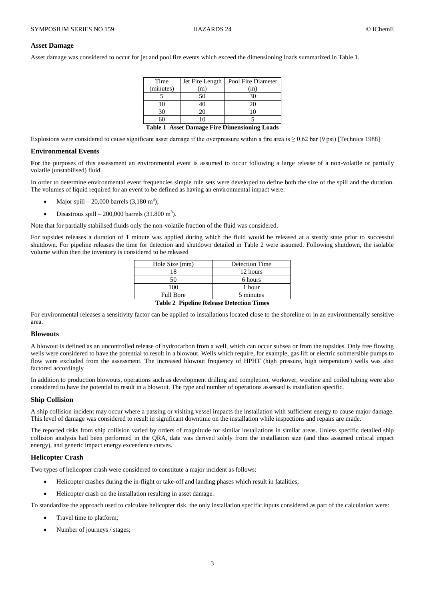#### **Asset Damage**

Asset damage was considered to occur for jet and pool fire events which exceed the dimensioning loads summarized in Table 1.

| Time                                                | Jet Fire Length | Pool Fire Diameter |  |  |  |
|-----------------------------------------------------|-----------------|--------------------|--|--|--|
| (minutes)                                           | (m)             | (m)                |  |  |  |
|                                                     | 50              | 30                 |  |  |  |
| 10                                                  | 40              | 20                 |  |  |  |
| 30                                                  | 20              |                    |  |  |  |
| 60                                                  | 10              |                    |  |  |  |
| <b>Table 1 Asset Damage Fire Dimensioning Loads</b> |                 |                    |  |  |  |

Explosions were considered to cause significant asset damage if the overpressure within a fire area is  $\geq 0.62$  bar (9 psi) [Technica 1988]

#### **Environmental Events**

For the purposes of this assessment an environmental event is assumed to occur following a large release of a non-volatile or partially volatile (unstabilised) fluid.

In order to determine environmental event frequencies simple rule sets were developed to define both the size of the spill and the duration. The volumes of liquid required for an event to be defined as having an environmental impact were:

- Major spill 20,000 barrels  $(3,180 \text{ m}^3)$ ;
- Disastrous spill 200,000 barrels (31.800 m<sup>3</sup>).

Note that for partially stabilised fluids only the non-volatile fraction of the fluid was considered.

For topsides releases a duration of 1 minute was applied during which the fluid would be released at a steady state prior to successful shutdown. For pipeline releases the time for detection and shutdown detailed in Table 2 were assumed. Following shutdown, the isolable volume within then the inventory is considered to be released

| Hole Size (mm)                           | <b>Detection Time</b> |  |  |  |
|------------------------------------------|-----------------------|--|--|--|
| 18                                       | 12 hours              |  |  |  |
| 50                                       | 6 hours               |  |  |  |
| 100                                      | 1 hour                |  |  |  |
| <b>Full Bore</b>                         | 5 minutes             |  |  |  |
| Takka A. Dinalina Dakaan Dataating Timan |                       |  |  |  |

**Table 2 Pipeline Release Detection Times**

For environmental releases a sensitivity factor can be applied to installations located close to the shoreline or in an environmentally sensitive area.

#### **Blowouts**

A blowout is defined as an uncontrolled release of hydrocarbon from a well, which can occur subsea or from the topsides. Only free flowing wells were considered to have the potential to result in a blowout. Wells which require, for example, gas lift or electric submersible pumps to flow were excluded from the assessment. The increased blowout frequency of HPHT (high pressure, high temperature) wells was also factored accordingly

In addition to production blowouts, operations such as development drilling and completion, workover, wireline and coiled tubing were also considered to have the potential to result in a blowout. The type and number of operations assessed is installation specific.

#### **Ship Collision**

A ship collision incident may occur where a passing or visiting vessel impacts the installation with sufficient energy to cause major damage. This level of damage was considered to result in significant downtime on the installation while inspections and repairs are made.

The reported risks from ship collision varied by orders of magnitude for similar installations in similar areas. Unless specific detailed ship collision analysis had been performed in the QRA, data was derived solely from the installation size (and thus assumed critical impact energy), and generic impact energy exceedence curves.

#### **Helicopter Crash**

Two types of helicopter crash were considered to constitute a major incident as follows:

- Helicopter crashes during the in-flight or take-off and landing phases which result in fatalities;
- Helicopter crash on the installation resulting in asset damage.

To standardize the approach used to calculate helicopter risk, the only installation specific inputs considered as part of the calculation were:

- Travel time to platform;
- Number of journeys / stages;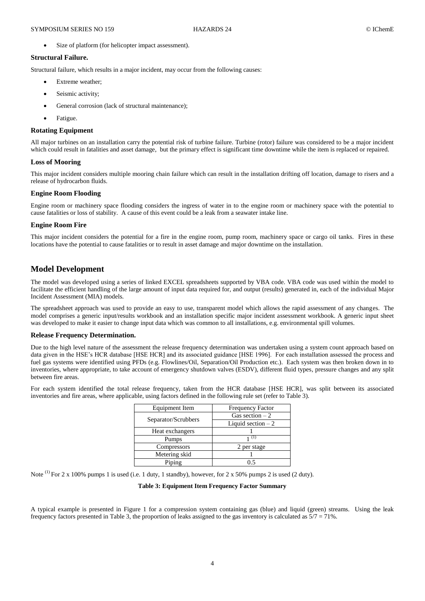Size of platform (for helicopter impact assessment).

#### **Structural Failure.**

Structural failure, which results in a major incident, may occur from the following causes:

- Extreme weather;
- Seismic activity;
- General corrosion (lack of structural maintenance);
- Fatigue.

### **Rotating Equipment**

All major turbines on an installation carry the potential risk of turbine failure. Turbine (rotor) failure was considered to be a major incident which could result in fatalities and asset damage, but the primary effect is significant time downtime while the item is replaced or repaired.

#### **Loss of Mooring**

This major incident considers multiple mooring chain failure which can result in the installation drifting off location, damage to risers and a release of hydrocarbon fluids.

#### **Engine Room Flooding**

Engine room or machinery space flooding considers the ingress of water in to the engine room or machinery space with the potential to cause fatalities or loss of stability. A cause of this event could be a leak from a seawater intake line.

#### **Engine Room Fire**

This major incident considers the potential for a fire in the engine room, pump room, machinery space or cargo oil tanks. Fires in these locations have the potential to cause fatalities or to result in asset damage and major downtime on the installation.

# **Model Development**

The model was developed using a series of linked EXCEL spreadsheets supported by VBA code. VBA code was used within the model to facilitate the efficient handling of the large amount of input data required for, and output (results) generated in, each of the individual Major Incident Assessment (MIA) models.

The spreadsheet approach was used to provide an easy to use, transparent model which allows the rapid assessment of any changes. The model comprises a generic input/results workbook and an installation specific major incident assessment workbook. A generic input sheet was developed to make it easier to change input data which was common to all installations, e.g. environmental spill volumes.

#### **Release Frequency Determination.**

Due to the high level nature of the assessment the release frequency determination was undertaken using a system count approach based on data given in the HSE's HCR database [HSE HCR] and its associated guidance [HSE 1996]. For each installation assessed the process and fuel gas systems were identified using PFDs (e.g. Flowlines/Oil, Separation/Oil Production etc.). Each system was then broken down in to inventories, where appropriate, to take account of emergency shutdown valves (ESDV), different fluid types, pressure changes and any split between fire areas.

For each system identified the total release frequency, taken from the HCR database [HSE HCR], was split between its associated inventories and fire areas, where applicable, using factors defined in the following rule set (refer to Table 3).

| <b>Equipment Item</b> | <b>Frequency Factor</b> |  |  |
|-----------------------|-------------------------|--|--|
|                       | Gas section $-2$        |  |  |
| Separator/Scrubbers   | Liquid section $-2$     |  |  |
| Heat exchangers       |                         |  |  |
| Pumps                 |                         |  |  |
| Compressors           | 2 per stage             |  |  |
| Metering skid         |                         |  |  |
| Piping                |                         |  |  |

Note <sup>(1)</sup> For 2 x 100% pumps 1 is used (i.e. 1 duty, 1 standby), however, for 2 x 50% pumps 2 is used (2 duty).

#### **Table 3: Equipment Item Frequency Factor Summary**

A typical example is presented in Figure 1 for a compression system containing gas (blue) and liquid (green) streams. Using the leak frequency factors presented in Table 3, the proportion of leaks assigned to the gas inventory is calculated as 5/7 = 71%.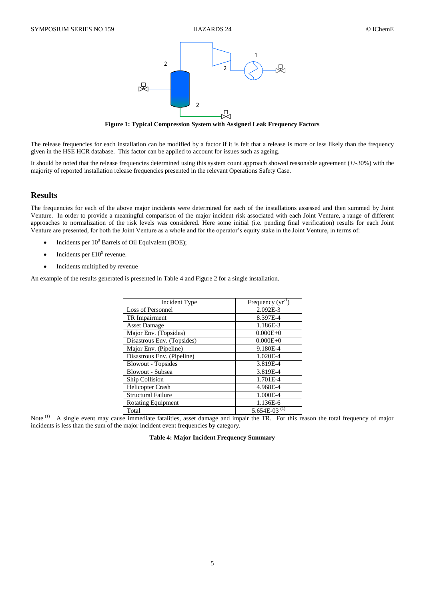

**Figure 1: Typical Compression System with Assigned Leak Frequency Factors**

The release frequencies for each installation can be modified by a factor if it is felt that a release is more or less likely than the frequency given in the HSE HCR database. This factor can be applied to account for issues such as ageing.

It should be noted that the release frequencies determined using this system count approach showed reasonable agreement (+/-30%) with the majority of reported installation release frequencies presented in the relevant Operations Safety Case.

## **Results**

The frequencies for each of the above major incidents were determined for each of the installations assessed and then summed by Joint Venture. In order to provide a meaningful comparison of the major incident risk associated with each Joint Venture, a range of different approaches to normalization of the risk levels was considered. Here some initial (i.e. pending final verification) results for each Joint Venture are presented, for both the Joint Venture as a whole and for the operator's equity stake in the Joint Venture, in terms of:

- Incidents per  $10^9$  Barrels of Oil Equivalent (BOE);
- $\bullet$  Incidents per £10<sup>9</sup> revenue.
- Incidents multiplied by revenue

An example of the results generated is presented in Table 4 and Figure 2 for a single installation.

| Incident Type              | Frequency $(yr^{-1})$ |  |  |  |
|----------------------------|-----------------------|--|--|--|
| Loss of Personnel          | $2.092E-3$            |  |  |  |
| TR Impairment              | 8.397E-4              |  |  |  |
| <b>Asset Damage</b>        | 1.186E-3              |  |  |  |
| Major Env. (Topsides)      | $0.000E + 0$          |  |  |  |
| Disastrous Env. (Topsides) | $0.000E + 0$          |  |  |  |
| Major Env. (Pipeline)      | 9.180E-4              |  |  |  |
| Disastrous Env. (Pipeline) | 1.020E-4              |  |  |  |
| <b>Blowout - Topsides</b>  | 3.819E-4              |  |  |  |
| Blowout - Subsea           | 3.819E-4              |  |  |  |
| Ship Collision             | 1.701E-4              |  |  |  |
| Helicopter Crash           | 4.968E-4              |  |  |  |
| <b>Structural Failure</b>  | 1.000E-4              |  |  |  |
| <b>Rotating Equipment</b>  | 1.136E-6              |  |  |  |
| Total                      | 5.654E-03             |  |  |  |

Note<sup>(1)</sup> A single event may cause immediate fatalities, asset damage and impair the TR. For this reason the total frequency of major incidents is less than the sum of the major incident event frequencies by category.

#### **Table 4: Major Incident Frequency Summary**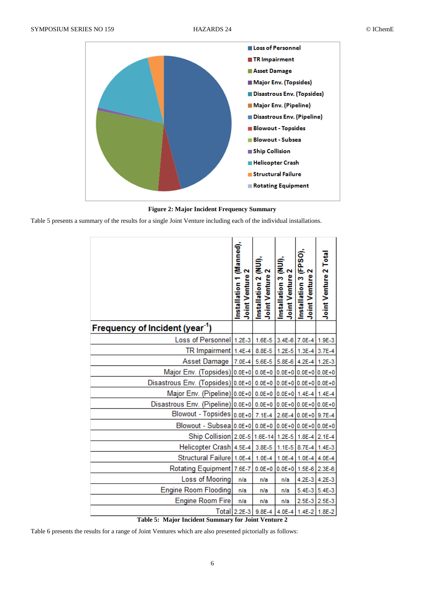

**Figure 2: Major Incident Frequency Summary**

Table 5 presents a summary of the results for a single Joint Venture including each of the individual installations.

|                                                               | Installation 1 (Manned),<br>Joint Venture 2 | Installation 2 (NUI)<br>Joint Venture 2 | Installation 3 (NUI),<br>Joint Venture 2 | Installation 3 (FPSO),<br>Σ<br><b>Joint Venture</b> | Joint Venture 2 Total |
|---------------------------------------------------------------|---------------------------------------------|-----------------------------------------|------------------------------------------|-----------------------------------------------------|-----------------------|
| Frequency of Incident (year <sup>-1</sup> )                   |                                             |                                         |                                          |                                                     |                       |
| Loss of Personnel 1.2E-3                                      |                                             | $1.6E - 5$                              |                                          | 3.4E-6 7.0E-4                                       | $1.9E - 3$            |
| TR Impairment 1.4E-4                                          |                                             | 8.8E-5                                  |                                          | 1.2E-5 1.3E-4                                       | 3.7E-4                |
| Asset Damage                                                  | $7.0E - 4$                                  | 5.6E-5                                  | $5.8E-6$                                 | $4.2E - 4$                                          | $1.2E - 3$            |
| Major Env. (Topsides) 0.0E+0 0.0E+0 0.0E+0 0.0E+0 0.0E+0      |                                             |                                         |                                          |                                                     |                       |
| Disastrous Env. (Topsides) 0.0E+0 0.0E+0 0.0E+0 0.0E+0 0.0E+0 |                                             |                                         |                                          |                                                     |                       |
| Major Env. (Pipeline) 0.0E+0 0.0E+0 0.0E+0 1.4E-4 1.4E-4      |                                             |                                         |                                          |                                                     |                       |
| Disastrous Env. (Pipeline) 0.0E+0 0.0E+0 0.0E+0 0.0E+0 0.0E+0 |                                             |                                         |                                          |                                                     |                       |
| Blowout - Topsides 0.0E+0 7.1E-4 2.6E-4 0.0E+0 9.7E-4         |                                             |                                         |                                          |                                                     |                       |
| Blowout - Subsea 0.0E+0 0.0E+0 0.0E+0 0.0E+0 0.0E+0           |                                             |                                         |                                          |                                                     |                       |
| Ship Collision 2.0E-5 1.6E-14 1.2E-5 1.8E-4 2.1E-4            |                                             |                                         |                                          |                                                     |                       |
| Helicopter Crash                                              | 4.5E-4                                      | 3.8E-5                                  |                                          | 1.1E-5 8.7E-4                                       | $1.4E-3$              |
| Structural Failure 1.0E-4                                     |                                             | $1.0E - 4$                              | $1.0E - 4$                               | $1.0E - 4$                                          | $4.0E - 4$            |
| <b>Rotating Equipment</b>                                     | 7.6E-7                                      | $0.0E + 0$                              | $0.0E+0$ 1.5E-6                          |                                                     | 2.3E-6                |
| Loss of Mooring                                               | n/a                                         | n/a                                     | n/a                                      |                                                     | $4.2E-3$ $4.2E-3$     |
| Engine Room Flooding                                          | n/a                                         | n/a                                     | n/a                                      | $5.4E-3$                                            | 5.4E-3                |
| <b>Engine Room Fire</b>                                       | n/a                                         | n/a                                     | n/a                                      |                                                     | $2.5E-3$ 2.5E-3       |
|                                                               | Total 2.2E-3                                | $9.8E - 4$                              | $4.0E - 4$                               |                                                     | $1.4E-2$ 1.8E-2       |

**Table 5: Major Incident Summary for Joint Venture 2**

Table 6 presents the results for a range of Joint Ventures which are also presented pictorially as follows: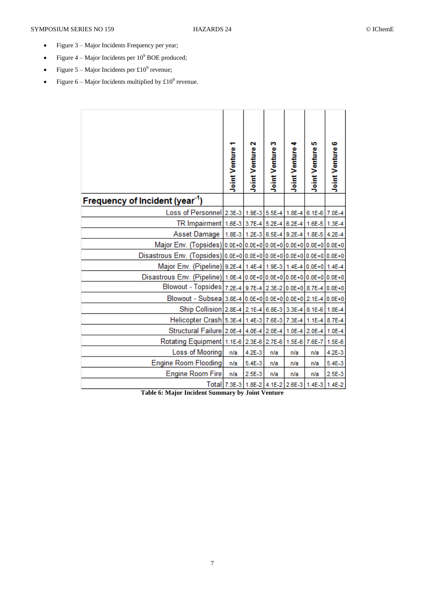- Figure 3 Major Incidents Frequency per year;
- Figure  $4 -$  Major Incidents per  $10^9$  BOE produced;
- Figure 5 Major Incidents per £10<sup>9</sup> revenue;
- Figure 6 Major Incidents multiplied by  $\text{\pounds}10^9$  revenue.

|                                                                      | <b>Joint Venture</b> | Joint Venture 2             | Joint Venture 3      | Joint Venture 4 | <b>Joint Venture 5</b> | Joint Venture 6 |
|----------------------------------------------------------------------|----------------------|-----------------------------|----------------------|-----------------|------------------------|-----------------|
| Frequency of Incident (year <sup>-1</sup> )                          |                      |                             |                      |                 |                        |                 |
| Loss of Personnel 2.3E-3 1.9E-3 5.5E-4 1.8E-4 6.1E-6 7.0E-4          |                      |                             |                      |                 |                        |                 |
| TR Impairment 1.6E-3 3.7E-4 5.2E-4 6.2E-4 1.6E-5                     |                      |                             |                      |                 |                        | $1.3E - 4$      |
| Asset Damage                                                         |                      | 1.8E-3 1.2E-3 6.5E-4 9.2E-4 |                      |                 | $1.8E-5$               | $4.2E - 4$      |
| Major Env. (Topsides) 0.0E+0 0.0E+0 0.0E+0 0.0E+0 0.0E+0 0.0E+0      |                      |                             |                      |                 |                        |                 |
| Disastrous Env. (Topsides) 0.0E+0 0.0E+0 0.0E+0 0.0E+0 0.0E+0 0.0E+0 |                      |                             |                      |                 |                        |                 |
| Major Env. (Pipeline) 9.2E-4 1.4E-4 1.9E-3 1.4E-4 0.0E+0 1.4E-4      |                      |                             |                      |                 |                        |                 |
| Disastrous Env. (Pipeline) 1.0E-4 0.0E+0 0.0E+0 0.0E+0 0.0E+0 0.0E+0 |                      |                             |                      |                 |                        |                 |
| Blowout - Topsides 7.2E-4 9.7E-4 2.3E-2 0.0E+0 8.7E-4 0.0E+0         |                      |                             |                      |                 |                        |                 |
| Blowout - Subsea 3.8E-4 0.0E+0 0.0E+0 0.0E+0 2.1E-4 0.0E+0           |                      |                             |                      |                 |                        |                 |
| Ship Collision 2.8E-4 2.1E-4 6.8E-3 3.3E-4 8.1E-6 1.8E-4             |                      |                             |                      |                 |                        |                 |
| Helicopter Crash 5.3E-4                                              |                      |                             | 1.4E-3 7.6E-3 7.3E-4 |                 | $1.1E-4$               | 8.7E-4          |
| Structural Failure 2.0E-4 4.0E-4 2.0E-4 1.0E-4 2.0E-4                |                      |                             |                      |                 |                        | $1.0E - 4$      |
| Rotating Equipment 1.1E-6 2.3E-6                                     |                      |                             | 2.7E-6 1.5E-6        |                 | 7.6E-7                 | $1.5E-6$        |
| Loss of Mooring                                                      | n/a                  | $4.2E - 3$                  | n/a                  | n/a             | n/a                    | $4.2E - 3$      |
| <b>Engine Room Flooding</b>                                          | n/a                  | $5.4E-3$                    | n/a                  | n/a             | n/a                    | $5.4E-3$        |
| <b>Engine Room Fire</b>                                              | n/a                  | $2.5E-3$                    | n/a                  | n/a             | n/a                    | $2.5E-3$        |
|                                                                      | Total 7.3E-3         |                             | $1.8E-2$ 4.1E-2      | $2.6E-3$        | $1.4E-3$               | $1.4E-2$        |

**Table 6: Major Incident Summary by Joint Venture**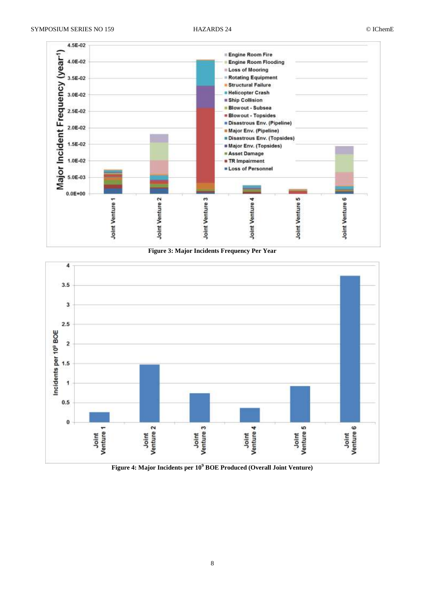

## **Figure 3: Major Incidents Frequency Per Year**



**Figure 4: Major Incidents per 10<sup>9</sup> BOE Produced (Overall Joint Venture)**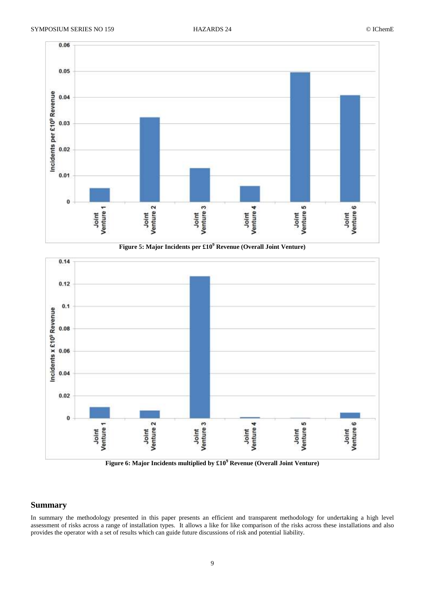

**Figure 5: Major Incidents per £10<sup>9</sup> Revenue (Overall Joint Venture)**



**Figure 6: Major Incidents multiplied by £10<sup>9</sup> Revenue (Overall Joint Venture)**

# **Summary**

In summary the methodology presented in this paper presents an efficient and transparent methodology for undertaking a high level assessment of risks across a range of installation types. It allows a like for like comparison of the risks across these installations and also provides the operator with a set of results which can guide future discussions of risk and potential liability.